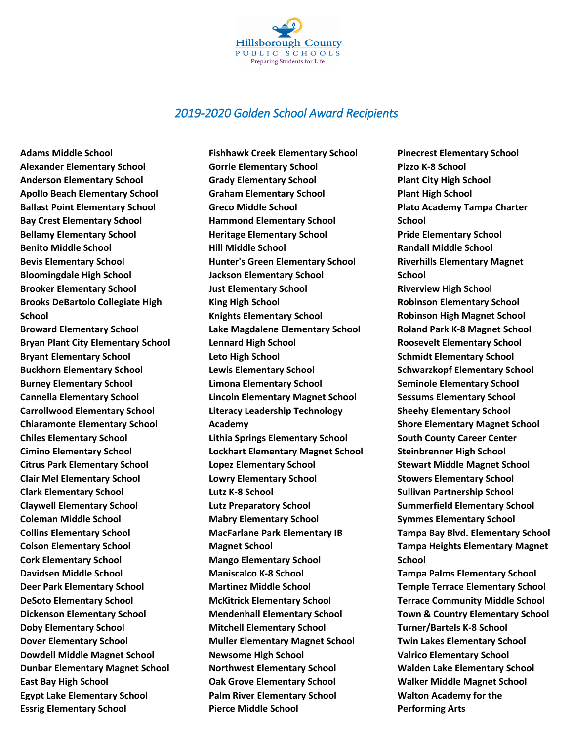

## *2019‐2020 Golden School Award Recipients*

**Adams Middle School Alexander Elementary School Anderson Elementary School Apollo Beach Elementary School Ballast Point Elementary School Bay Crest Elementary School Bellamy Elementary School Benito Middle School Bevis Elementary School Bloomingdale High School Brooker Elementary School Brooks DeBartolo Collegiate High School** 

**Broward Elementary School Bryan Plant City Elementary School Bryant Elementary School Buckhorn Elementary School Burney Elementary School Cannella Elementary School Carrollwood Elementary School Chiaramonte Elementary School Chiles Elementary School Cimino Elementary School Citrus Park Elementary School Clair Mel Elementary School Clark Elementary School Claywell Elementary School Coleman Middle School Collins Elementary School Colson Elementary School Cork Elementary School Davidsen Middle School Deer Park Elementary School DeSoto Elementary School Dickenson Elementary School Doby Elementary School Dover Elementary School Dowdell Middle Magnet School Dunbar Elementary Magnet School East Bay High School Egypt Lake Elementary School Essrig Elementary School** 

**Fishhawk Creek Elementary School Gorrie Elementary School Grady Elementary School Graham Elementary School Greco Middle School Hammond Elementary School Heritage Elementary School Hill Middle School Hunter's Green Elementary School Jackson Elementary School Just Elementary School King High School Knights Elementary School Lake Magdalene Elementary School Lennard High School Leto High School Lewis Elementary School Limona Elementary School Lincoln Elementary Magnet School Literacy Leadership Technology Academy Lithia Springs Elementary School Lockhart Elementary Magnet School Lopez Elementary School Lowry Elementary School Lutz K-8 School Lutz Preparatory School Mabry Elementary School MacFarlane Park Elementary IB Magnet School Mango Elementary School Maniscalco K-8 School Martinez Middle School McKitrick Elementary School Mendenhall Elementary School Mitchell Elementary School Muller Elementary Magnet School Newsome High School Northwest Elementary School Oak Grove Elementary School Palm River Elementary School Pierce Middle School** 

**Pinecrest Elementary School Pizzo K-8 School Plant City High School Plant High School Plato Academy Tampa Charter School Pride Elementary School Randall Middle School Riverhills Elementary Magnet School Riverview High School Robinson Elementary School Robinson High Magnet School Roland Park K-8 Magnet School Roosevelt Elementary School Schmidt Elementary School Schwarzkopf Elementary School Seminole Elementary School Sessums Elementary School Sheehy Elementary School Shore Elementary Magnet School South County Career Center Steinbrenner High School Stewart Middle Magnet School Stowers Elementary School Sullivan Partnership School Summerfield Elementary School Symmes Elementary School Tampa Bay Blvd. Elementary School Tampa Heights Elementary Magnet School Tampa Palms Elementary School Temple Terrace Elementary School** 

**Terrace Community Middle School Town & Country Elementary School Turner/Bartels K-8 School Twin Lakes Elementary School Valrico Elementary School Walden Lake Elementary School Walker Middle Magnet School Walton Academy for the Performing Arts**